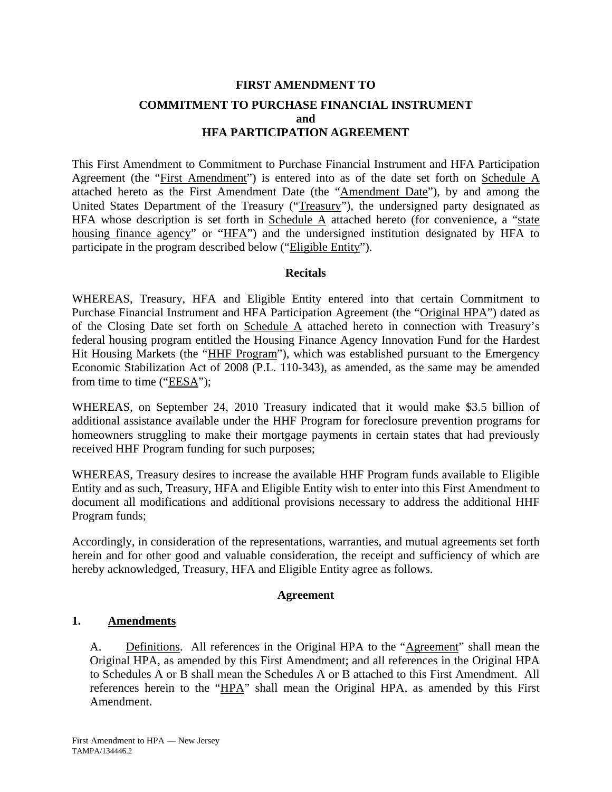# **FIRST AMENDMENT TO COMMITMENT TO PURCHASE FINANCIAL INSTRUMENT and HFA PARTICIPATION AGREEMENT**

This First Amendment to Commitment to Purchase Financial Instrument and HFA Participation Agreement (the "First Amendment") is entered into as of the date set forth on Schedule A attached hereto as the First Amendment Date (the "Amendment Date"), by and among the United States Department of the Treasury ("Treasury"), the undersigned party designated as HFA whose description is set forth in Schedule  $\overline{A}$  attached hereto (for convenience, a "state housing finance agency" or "HFA") and the undersigned institution designated by HFA to participate in the program described below ("Eligible Entity").

## **Recitals**

WHEREAS, Treasury, HFA and Eligible Entity entered into that certain Commitment to Purchase Financial Instrument and HFA Participation Agreement (the "Original HPA") dated as of the Closing Date set forth on Schedule A attached hereto in connection with Treasury's federal housing program entitled the Housing Finance Agency Innovation Fund for the Hardest Hit Housing Markets (the "HHF Program"), which was established pursuant to the Emergency Economic Stabilization Act of 2008 (P.L. 110-343), as amended, as the same may be amended from time to time ("EESA");

WHEREAS, on September 24, 2010 Treasury indicated that it would make \$3.5 billion of additional assistance available under the HHF Program for foreclosure prevention programs for homeowners struggling to make their mortgage payments in certain states that had previously received HHF Program funding for such purposes;

WHEREAS, Treasury desires to increase the available HHF Program funds available to Eligible Entity and as such, Treasury, HFA and Eligible Entity wish to enter into this First Amendment to document all modifications and additional provisions necessary to address the additional HHF Program funds;

Accordingly, in consideration of the representations, warranties, and mutual agreements set forth herein and for other good and valuable consideration, the receipt and sufficiency of which are hereby acknowledged, Treasury, HFA and Eligible Entity agree as follows.

## **Agreement**

# **1. Amendments**

A. Definitions. All references in the Original HPA to the "Agreement" shall mean the Original HPA, as amended by this First Amendment; and all references in the Original HPA to Schedules A or B shall mean the Schedules A or B attached to this First Amendment. All references herein to the "HPA" shall mean the Original HPA, as amended by this First Amendment.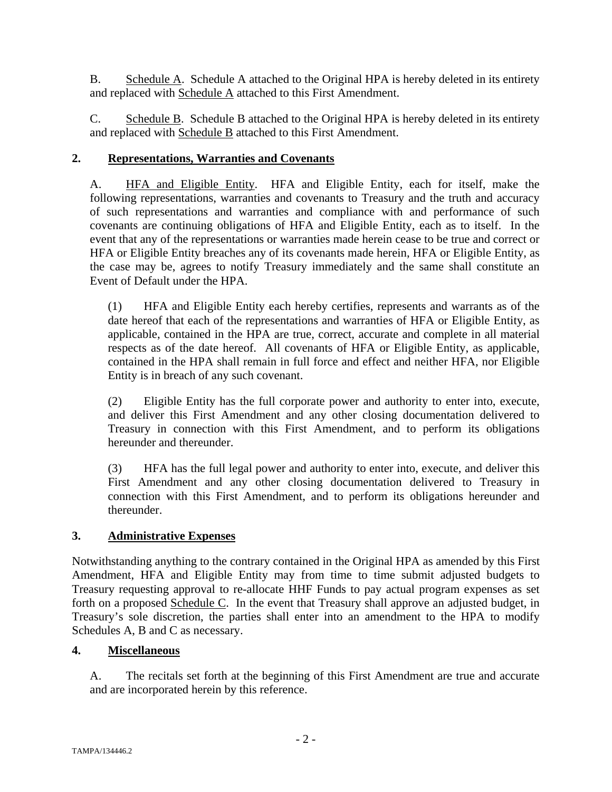B. Schedule A. Schedule A attached to the Original HPA is hereby deleted in its entirety and replaced with Schedule A attached to this First Amendment.

C. Schedule B. Schedule B attached to the Original HPA is hereby deleted in its entirety and replaced with **Schedule B** attached to this First Amendment.

## **2. Representations, Warranties and Covenants**

A. HFA and Eligible Entity. HFA and Eligible Entity, each for itself, make the following representations, warranties and covenants to Treasury and the truth and accuracy of such representations and warranties and compliance with and performance of such covenants are continuing obligations of HFA and Eligible Entity, each as to itself. In the event that any of the representations or warranties made herein cease to be true and correct or HFA or Eligible Entity breaches any of its covenants made herein, HFA or Eligible Entity, as the case may be, agrees to notify Treasury immediately and the same shall constitute an Event of Default under the HPA.

(1) HFA and Eligible Entity each hereby certifies, represents and warrants as of the date hereof that each of the representations and warranties of HFA or Eligible Entity, as applicable, contained in the HPA are true, correct, accurate and complete in all material respects as of the date hereof. All covenants of HFA or Eligible Entity, as applicable, contained in the HPA shall remain in full force and effect and neither HFA, nor Eligible Entity is in breach of any such covenant.

(2) Eligible Entity has the full corporate power and authority to enter into, execute, and deliver this First Amendment and any other closing documentation delivered to Treasury in connection with this First Amendment, and to perform its obligations hereunder and thereunder.

(3) HFA has the full legal power and authority to enter into, execute, and deliver this First Amendment and any other closing documentation delivered to Treasury in connection with this First Amendment, and to perform its obligations hereunder and thereunder.

# **3. Administrative Expenses**

Notwithstanding anything to the contrary contained in the Original HPA as amended by this First Amendment, HFA and Eligible Entity may from time to time submit adjusted budgets to Treasury requesting approval to re-allocate HHF Funds to pay actual program expenses as set forth on a proposed Schedule C. In the event that Treasury shall approve an adjusted budget, in Treasury's sole discretion, the parties shall enter into an amendment to the HPA to modify Schedules A, B and C as necessary.

## **4. Miscellaneous**

A. The recitals set forth at the beginning of this First Amendment are true and accurate and are incorporated herein by this reference.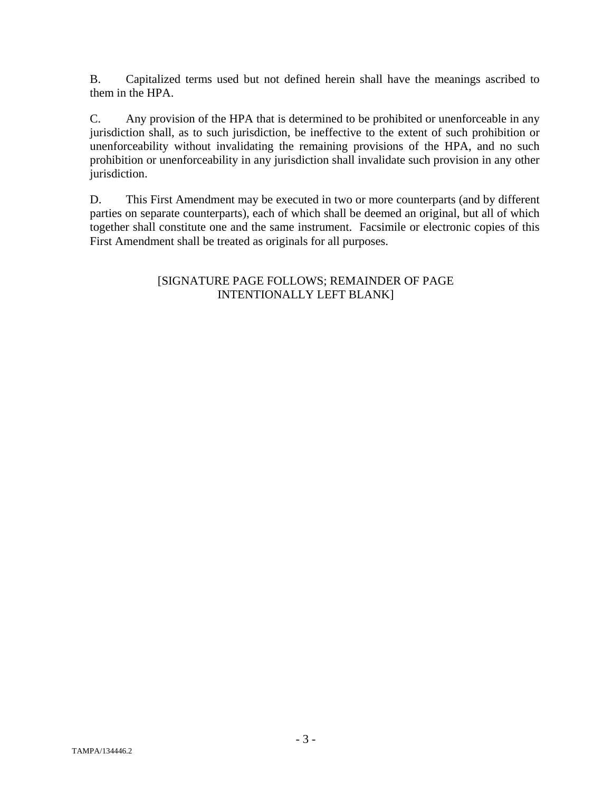B. Capitalized terms used but not defined herein shall have the meanings ascribed to them in the HPA.

C. Any provision of the HPA that is determined to be prohibited or unenforceable in any jurisdiction shall, as to such jurisdiction, be ineffective to the extent of such prohibition or unenforceability without invalidating the remaining provisions of the HPA, and no such prohibition or unenforceability in any jurisdiction shall invalidate such provision in any other jurisdiction.

D. This First Amendment may be executed in two or more counterparts (and by different parties on separate counterparts), each of which shall be deemed an original, but all of which together shall constitute one and the same instrument. Facsimile or electronic copies of this First Amendment shall be treated as originals for all purposes.

# [SIGNATURE PAGE FOLLOWS; REMAINDER OF PAGE INTENTIONALLY LEFT BLANK]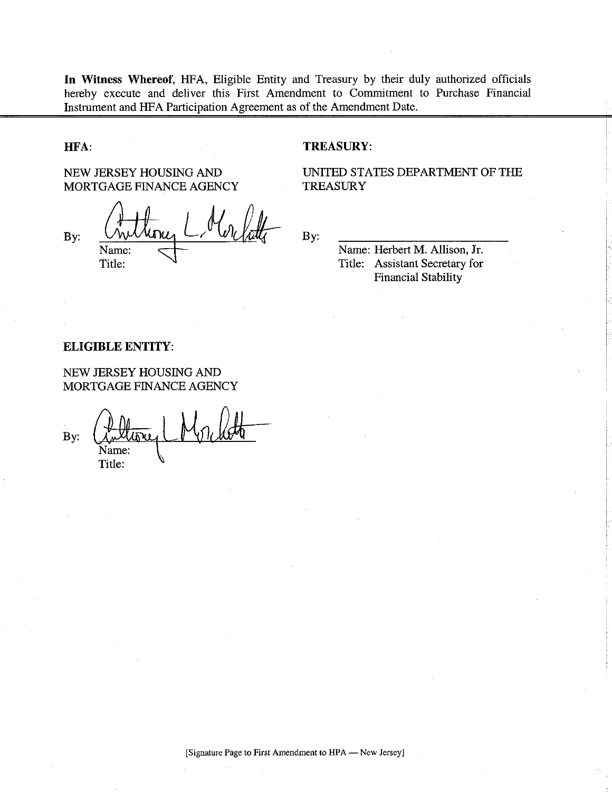In Witness Whereof, HFA, Eligible Entity and Treasury by their duly authorized officials hereby execute and deliver this First Amendment to Commitment to Purchase Financial Instrument and HFA Participation Agreement as of the Amendment Date.

### HFA:

NEW JERSEY HOUSING AND MORTGAGE FINANCE AGENCY

By: Name: Title:

#### **TREASURY:**

UNITED STATES DEPARTMENT OF THE **TREASURY** 

By:

Name: Herbert M. Allison, Jr. Title: Assistant Secretary for **Financial Stability** 

### **ELIGIBLE ENTITY:**

NEW JERSEY HOUSING AND MORTGAGE FINANCE AGENCY

By: Title: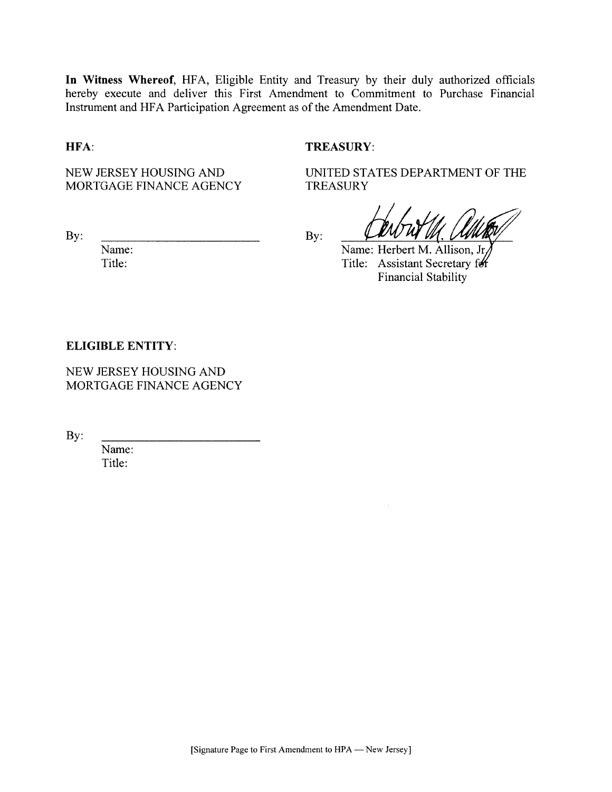In Witness Whereof, HFA, Eligible Entity and Treasury by their duly authorized officials hereby execute and deliver this First Amendment to Commitment to Purchase Financial Instrument and HFA Participation Agreement as of the Amendment Date.

## HFA:

#### **TREASURY:**

**TREASURY** 

NEW JERSEY HOUSING AND MORTGAGE FINANCE AGENCY

By:

Name: Title:

By:

Name: Herbert M. Allison, Jr Title: Assistant Secretary for **Financial Stability** 

UNITED STATES DEPARTMENT OF THE

### **ELIGIBLE ENTITY:**

NEW JERSEY HOUSING AND MORTGAGE FINANCE AGENCY

By:

Name: Title: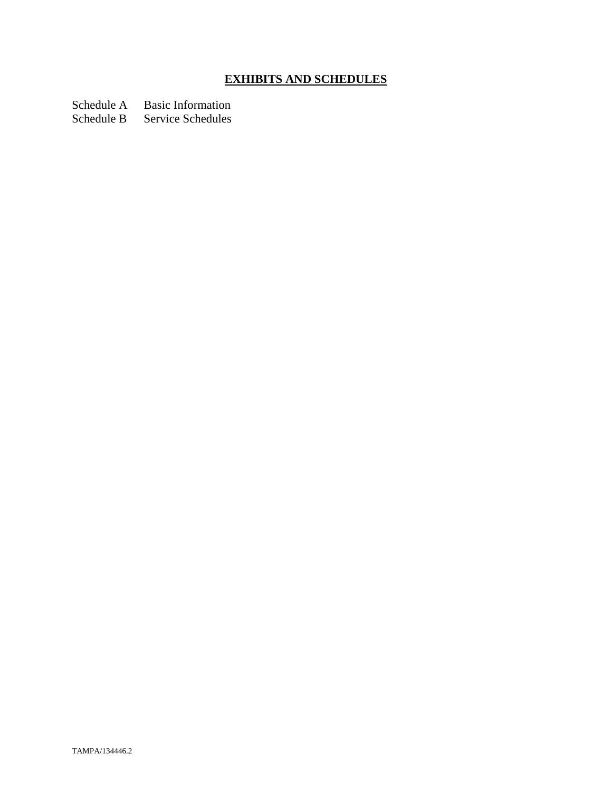# **EXHIBITS AND SCHEDULES**

Schedule A Basic Information<br>Schedule B Service Schedules

Service Schedules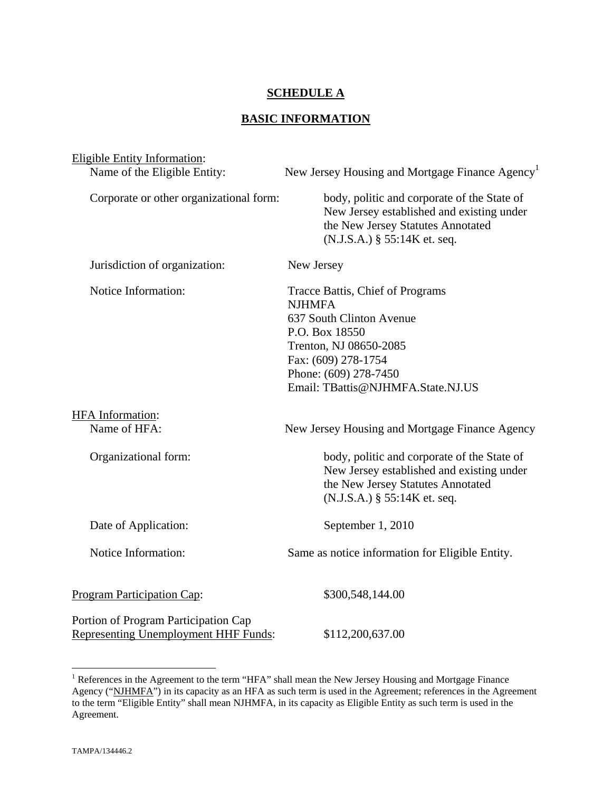## **SCHEDULE A**

# **BASIC INFORMATION**

| <b>Eligible Entity Information:</b>                                                 |                                                                                                                                                                                                                |
|-------------------------------------------------------------------------------------|----------------------------------------------------------------------------------------------------------------------------------------------------------------------------------------------------------------|
| Name of the Eligible Entity:                                                        | New Jersey Housing and Mortgage Finance Agency <sup>1</sup>                                                                                                                                                    |
| Corporate or other organizational form:                                             | body, politic and corporate of the State of<br>New Jersey established and existing under<br>the New Jersey Statutes Annotated<br>(N.J.S.A.) § 55:14K et. seq.                                                  |
| Jurisdiction of organization:                                                       | New Jersey                                                                                                                                                                                                     |
| Notice Information:                                                                 | Tracce Battis, Chief of Programs<br><b>NJHMFA</b><br>637 South Clinton Avenue<br>P.O. Box 18550<br>Trenton, NJ 08650-2085<br>Fax: (609) 278-1754<br>Phone: (609) 278-7450<br>Email: TBattis@NJHMFA.State.NJ.US |
| <b>HFA</b> Information:<br>Name of HFA:                                             |                                                                                                                                                                                                                |
|                                                                                     | New Jersey Housing and Mortgage Finance Agency                                                                                                                                                                 |
| Organizational form:                                                                | body, politic and corporate of the State of<br>New Jersey established and existing under<br>the New Jersey Statutes Annotated<br>(N.J.S.A.) § 55:14K et. seq.                                                  |
| Date of Application:                                                                | September 1, 2010                                                                                                                                                                                              |
| Notice Information:                                                                 | Same as notice information for Eligible Entity.                                                                                                                                                                |
| <b>Program Participation Cap:</b>                                                   | \$300,548,144.00                                                                                                                                                                                               |
| Portion of Program Participation Cap<br><b>Representing Unemployment HHF Funds:</b> | \$112,200,637.00                                                                                                                                                                                               |

<sup>&</sup>lt;sup>1</sup> References in the Agreement to the term "HFA" shall mean the New Jersey Housing and Mortgage Finance Agency ("NJHMFA") in its capacity as an HFA as such term is used in the Agreement; references in the Agreement to the term "Eligible Entity" shall mean NJHMFA, in its capacity as Eligible Entity as such term is used in the Agreement.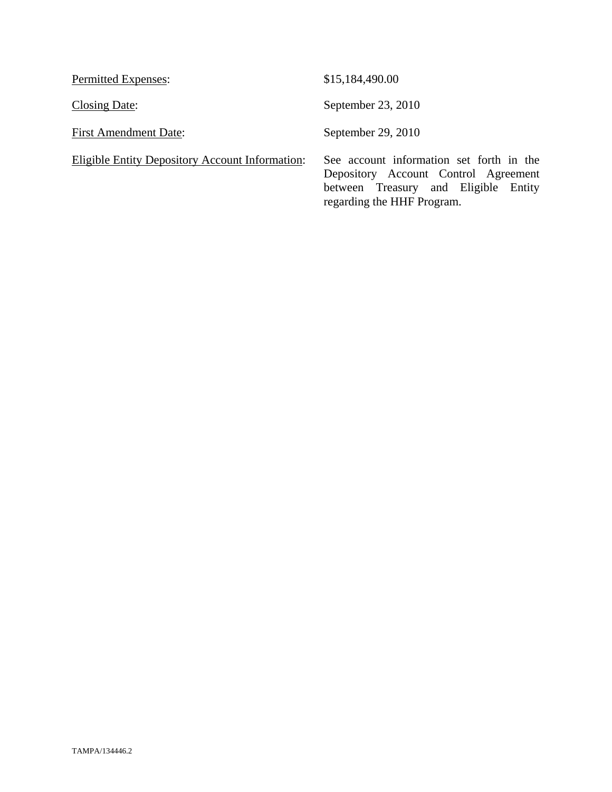| <b>Permitted Expenses:</b>                      | \$15,184,490.00                                                                                                                                        |
|-------------------------------------------------|--------------------------------------------------------------------------------------------------------------------------------------------------------|
| Closing Date:                                   | September 23, 2010                                                                                                                                     |
| <b>First Amendment Date:</b>                    | September 29, 2010                                                                                                                                     |
| Eligible Entity Depository Account Information: | See account information set forth in the<br>Depository Account Control Agreement<br>between Treasury and Eligible Entity<br>regarding the HHF Program. |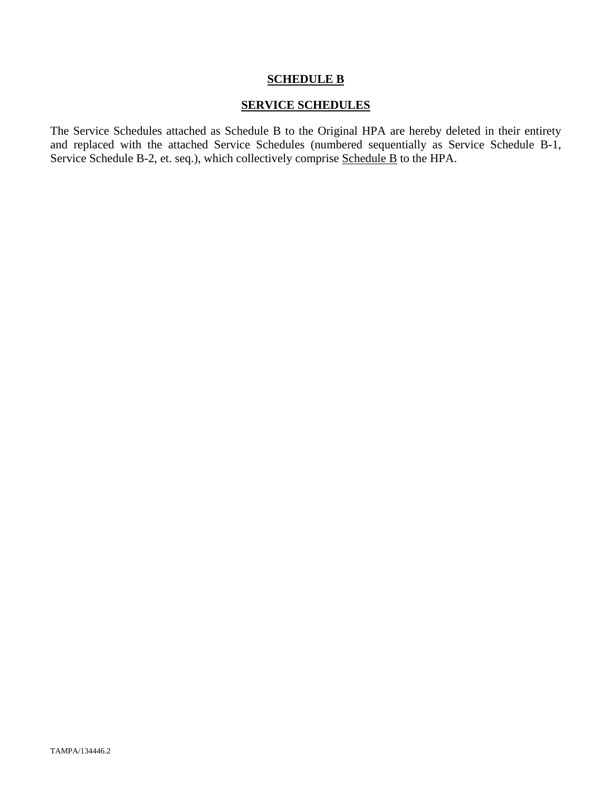### **SCHEDULE B**

## **SERVICE SCHEDULES**

The Service Schedules attached as Schedule B to the Original HPA are hereby deleted in their entirety and replaced with the attached Service Schedules (numbered sequentially as Service Schedule B-1, Service Schedule B-2, et. seq.), which collectively comprise Schedule B to the HPA.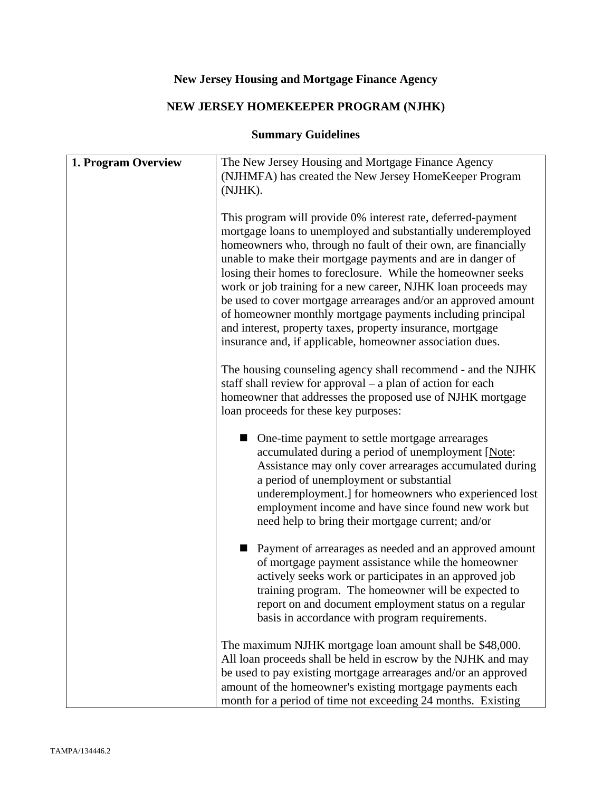# **New Jersey Housing and Mortgage Finance Agency**

# **NEW JERSEY HOMEKEEPER PROGRAM (NJHK)**

# **Summary Guidelines**

| 1. Program Overview | The New Jersey Housing and Mortgage Finance Agency                                                                                                              |
|---------------------|-----------------------------------------------------------------------------------------------------------------------------------------------------------------|
|                     | (NJHMFA) has created the New Jersey HomeKeeper Program                                                                                                          |
|                     | (NJHK).                                                                                                                                                         |
|                     | This program will provide 0% interest rate, deferred-payment                                                                                                    |
|                     | mortgage loans to unemployed and substantially underemployed<br>homeowners who, through no fault of their own, are financially                                  |
|                     | unable to make their mortgage payments and are in danger of                                                                                                     |
|                     | losing their homes to foreclosure. While the homeowner seeks<br>work or job training for a new career, NJHK loan proceeds may                                   |
|                     | be used to cover mortgage arrearages and/or an approved amount                                                                                                  |
|                     | of homeowner monthly mortgage payments including principal<br>and interest, property taxes, property insurance, mortgage                                        |
|                     | insurance and, if applicable, homeowner association dues.                                                                                                       |
|                     | The housing counseling agency shall recommend - and the NJHK                                                                                                    |
|                     | staff shall review for approval – a plan of action for each                                                                                                     |
|                     | homeowner that addresses the proposed use of NJHK mortgage<br>loan proceeds for these key purposes:                                                             |
|                     |                                                                                                                                                                 |
|                     | One-time payment to settle mortgage arrearages<br>accumulated during a period of unemployment [Note:<br>Assistance may only cover arrearages accumulated during |
|                     | a period of unemployment or substantial<br>underemployment.] for homeowners who experienced lost                                                                |
|                     | employment income and have since found new work but<br>need help to bring their mortgage current; and/or                                                        |
|                     |                                                                                                                                                                 |
|                     | Payment of arrearages as needed and an approved amount<br>of mortgage payment assistance while the homeowner                                                    |
|                     | actively seeks work or participates in an approved job                                                                                                          |
|                     | training program. The homeowner will be expected to<br>report on and document employment status on a regular                                                    |
|                     | basis in accordance with program requirements.                                                                                                                  |
|                     | The maximum NJHK mortgage loan amount shall be \$48,000.                                                                                                        |
|                     | All loan proceeds shall be held in escrow by the NJHK and may                                                                                                   |
|                     | be used to pay existing mortgage arrearages and/or an approved<br>amount of the homeowner's existing mortgage payments each                                     |
|                     | month for a period of time not exceeding 24 months. Existing                                                                                                    |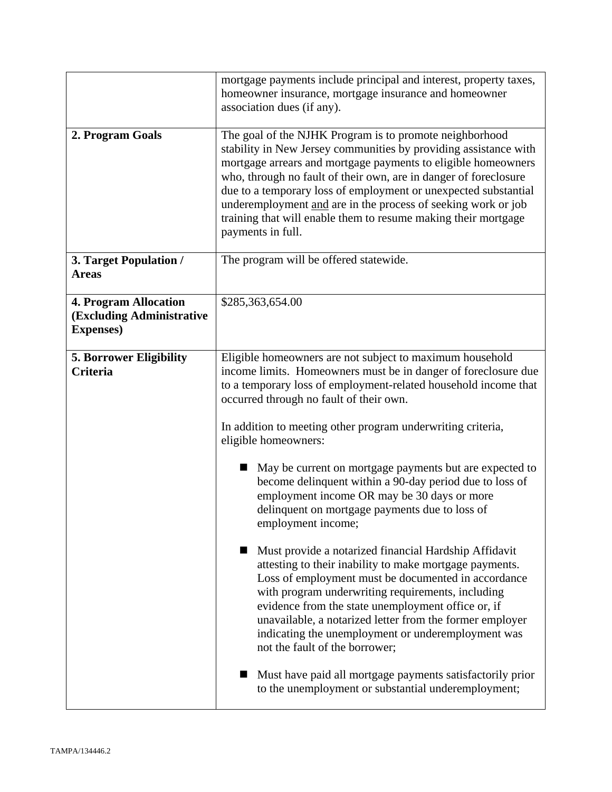|                                                                                | mortgage payments include principal and interest, property taxes,<br>homeowner insurance, mortgage insurance and homeowner<br>association dues (if any).                                                                                                                                                                                                                                                                                                                                    |
|--------------------------------------------------------------------------------|---------------------------------------------------------------------------------------------------------------------------------------------------------------------------------------------------------------------------------------------------------------------------------------------------------------------------------------------------------------------------------------------------------------------------------------------------------------------------------------------|
| 2. Program Goals                                                               | The goal of the NJHK Program is to promote neighborhood<br>stability in New Jersey communities by providing assistance with<br>mortgage arrears and mortgage payments to eligible homeowners<br>who, through no fault of their own, are in danger of foreclosure<br>due to a temporary loss of employment or unexpected substantial<br>underemployment and are in the process of seeking work or job<br>training that will enable them to resume making their mortgage<br>payments in full. |
| 3. Target Population /<br><b>Areas</b>                                         | The program will be offered statewide.                                                                                                                                                                                                                                                                                                                                                                                                                                                      |
| <b>4. Program Allocation</b><br>(Excluding Administrative<br><b>Expenses</b> ) | \$285,363,654.00                                                                                                                                                                                                                                                                                                                                                                                                                                                                            |
| <b>5. Borrower Eligibility</b><br><b>Criteria</b>                              | Eligible homeowners are not subject to maximum household<br>income limits. Homeowners must be in danger of foreclosure due<br>to a temporary loss of employment-related household income that<br>occurred through no fault of their own.<br>In addition to meeting other program underwriting criteria,<br>eligible homeowners:<br>May be current on mortgage payments but are expected to<br>become delinquent within a 90-day period due to loss of                                       |
|                                                                                | employment income OR may be 30 days or more<br>delinquent on mortgage payments due to loss of<br>employment income;                                                                                                                                                                                                                                                                                                                                                                         |
|                                                                                | Must provide a notarized financial Hardship Affidavit<br>attesting to their inability to make mortgage payments.<br>Loss of employment must be documented in accordance<br>with program underwriting requirements, including<br>evidence from the state unemployment office or, if<br>unavailable, a notarized letter from the former employer<br>indicating the unemployment or underemployment was<br>not the fault of the borrower;                                                      |
|                                                                                | Must have paid all mortgage payments satisfactorily prior<br>to the unemployment or substantial underemployment;                                                                                                                                                                                                                                                                                                                                                                            |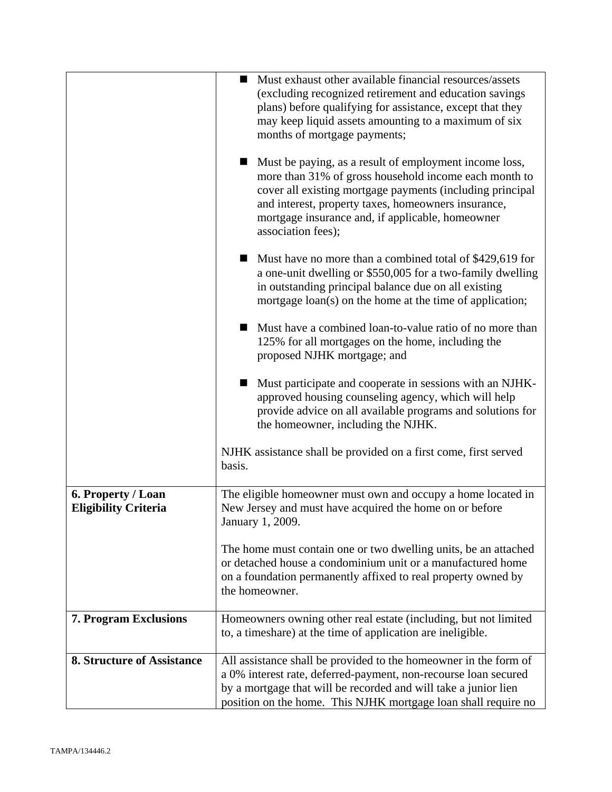|                                                   | Must exhaust other available financial resources/assets<br>$\blacksquare$<br>(excluding recognized retirement and education savings<br>plans) before qualifying for assistance, except that they<br>may keep liquid assets amounting to a maximum of six<br>months of mortgage payments;<br>Must be paying, as a result of employment income loss,<br>more than 31% of gross household income each month to<br>cover all existing mortgage payments (including principal<br>and interest, property taxes, homeowners insurance,<br>mortgage insurance and, if applicable, homeowner<br>association fees);<br>Must have no more than a combined total of \$429,619 for<br>a one-unit dwelling or \$550,005 for a two-family dwelling<br>in outstanding principal balance due on all existing<br>mortgage loan(s) on the home at the time of application;<br>Must have a combined loan-to-value ratio of no more than<br>125% for all mortgages on the home, including the<br>proposed NJHK mortgage; and<br>Must participate and cooperate in sessions with an NJHK-<br>approved housing counseling agency, which will help<br>provide advice on all available programs and solutions for<br>the homeowner, including the NJHK.<br>NJHK assistance shall be provided on a first come, first served<br>basis. |
|---------------------------------------------------|-------------------------------------------------------------------------------------------------------------------------------------------------------------------------------------------------------------------------------------------------------------------------------------------------------------------------------------------------------------------------------------------------------------------------------------------------------------------------------------------------------------------------------------------------------------------------------------------------------------------------------------------------------------------------------------------------------------------------------------------------------------------------------------------------------------------------------------------------------------------------------------------------------------------------------------------------------------------------------------------------------------------------------------------------------------------------------------------------------------------------------------------------------------------------------------------------------------------------------------------------------------------------------------------------------------|
|                                                   |                                                                                                                                                                                                                                                                                                                                                                                                                                                                                                                                                                                                                                                                                                                                                                                                                                                                                                                                                                                                                                                                                                                                                                                                                                                                                                             |
| 6. Property / Loan<br><b>Eligibility Criteria</b> | The eligible homeowner must own and occupy a home located in<br>New Jersey and must have acquired the home on or before<br>January 1, 2009.                                                                                                                                                                                                                                                                                                                                                                                                                                                                                                                                                                                                                                                                                                                                                                                                                                                                                                                                                                                                                                                                                                                                                                 |
|                                                   | The home must contain one or two dwelling units, be an attached<br>or detached house a condominium unit or a manufactured home<br>on a foundation permanently affixed to real property owned by<br>the homeowner.                                                                                                                                                                                                                                                                                                                                                                                                                                                                                                                                                                                                                                                                                                                                                                                                                                                                                                                                                                                                                                                                                           |
| <b>7. Program Exclusions</b>                      | Homeowners owning other real estate (including, but not limited<br>to, a timeshare) at the time of application are ineligible.                                                                                                                                                                                                                                                                                                                                                                                                                                                                                                                                                                                                                                                                                                                                                                                                                                                                                                                                                                                                                                                                                                                                                                              |
| <b>8. Structure of Assistance</b>                 | All assistance shall be provided to the homeowner in the form of<br>a 0% interest rate, deferred-payment, non-recourse loan secured<br>by a mortgage that will be recorded and will take a junior lien<br>position on the home. This NJHK mortgage loan shall require no                                                                                                                                                                                                                                                                                                                                                                                                                                                                                                                                                                                                                                                                                                                                                                                                                                                                                                                                                                                                                                    |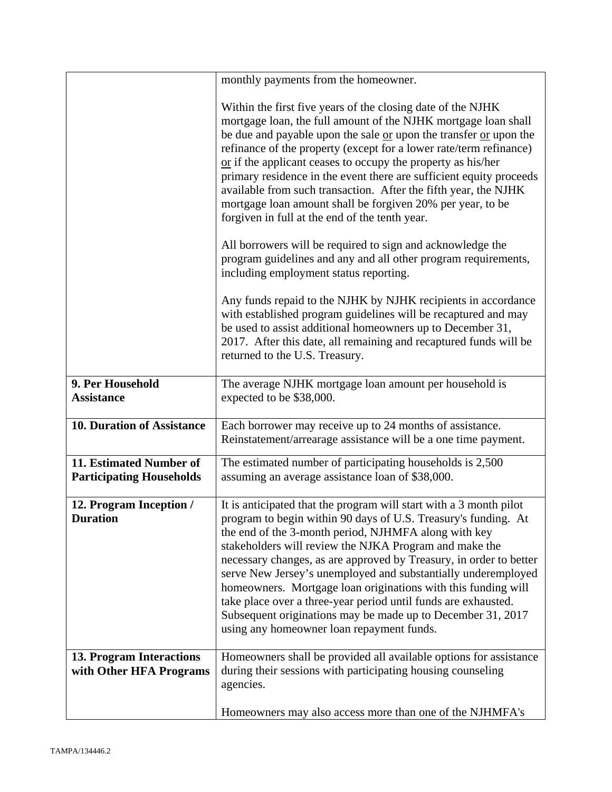|                                                            | monthly payments from the homeowner.                                                                                                                                                                                                                                                                                                                                                                                                                                                                                                                                                                                                         |
|------------------------------------------------------------|----------------------------------------------------------------------------------------------------------------------------------------------------------------------------------------------------------------------------------------------------------------------------------------------------------------------------------------------------------------------------------------------------------------------------------------------------------------------------------------------------------------------------------------------------------------------------------------------------------------------------------------------|
|                                                            | Within the first five years of the closing date of the NJHK<br>mortgage loan, the full amount of the NJHK mortgage loan shall<br>be due and payable upon the sale or upon the transfer or upon the<br>refinance of the property (except for a lower rate/term refinance)<br>$\alpha$ if the applicant ceases to occupy the property as his/her<br>primary residence in the event there are sufficient equity proceeds<br>available from such transaction. After the fifth year, the NJHK<br>mortgage loan amount shall be forgiven 20% per year, to be<br>forgiven in full at the end of the tenth year.                                     |
|                                                            | All borrowers will be required to sign and acknowledge the<br>program guidelines and any and all other program requirements,<br>including employment status reporting.                                                                                                                                                                                                                                                                                                                                                                                                                                                                       |
|                                                            | Any funds repaid to the NJHK by NJHK recipients in accordance<br>with established program guidelines will be recaptured and may<br>be used to assist additional homeowners up to December 31,<br>2017. After this date, all remaining and recaptured funds will be<br>returned to the U.S. Treasury.                                                                                                                                                                                                                                                                                                                                         |
| 9. Per Household<br><b>Assistance</b>                      | The average NJHK mortgage loan amount per household is<br>expected to be \$38,000.                                                                                                                                                                                                                                                                                                                                                                                                                                                                                                                                                           |
| <b>10. Duration of Assistance</b>                          | Each borrower may receive up to 24 months of assistance.<br>Reinstatement/arrearage assistance will be a one time payment.                                                                                                                                                                                                                                                                                                                                                                                                                                                                                                                   |
| 11. Estimated Number of<br><b>Participating Households</b> | The estimated number of participating households is 2,500<br>assuming an average assistance loan of \$38,000.                                                                                                                                                                                                                                                                                                                                                                                                                                                                                                                                |
| 12. Program Inception /<br><b>Duration</b>                 | It is anticipated that the program will start with a 3 month pilot<br>program to begin within 90 days of U.S. Treasury's funding. At<br>the end of the 3-month period, NJHMFA along with key<br>stakeholders will review the NJKA Program and make the<br>necessary changes, as are approved by Treasury, in order to better<br>serve New Jersey's unemployed and substantially underemployed<br>homeowners. Mortgage loan originations with this funding will<br>take place over a three-year period until funds are exhausted.<br>Subsequent originations may be made up to December 31, 2017<br>using any homeowner loan repayment funds. |
| <b>13. Program Interactions</b><br>with Other HFA Programs | Homeowners shall be provided all available options for assistance<br>during their sessions with participating housing counseling<br>agencies.                                                                                                                                                                                                                                                                                                                                                                                                                                                                                                |
|                                                            | Homeowners may also access more than one of the NJHMFA's                                                                                                                                                                                                                                                                                                                                                                                                                                                                                                                                                                                     |